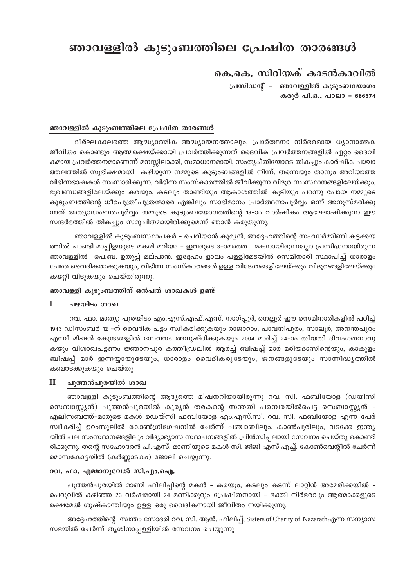# ഞാവള്ളിൽ കുടുംബത്തിലെ പ്രേഷിത താരങ്ങൾ

## കെ.കെ. സിറിയക് കാടൻകാവിൽ

പ്രസിഡന്റ് – ഞാവള്ളിൽ കുടുംബയോഗം കരുർ പി.ഒ., പാലാ - 686574

### ഞാവള്ളിൽ കുടുംബത്തിലെ പ്രേഷിത താരങ്ങൾ

ദീർഘകാലത്തെ ആദ്ധ്യാത്മിക അദ്ധ്യായനത്താലും, പ്രാർത്ഥനാ നിർഭരമായ ധ്യാനാത്മക ജീവിതം കൊണ്ടും ആത്മരക്ഷയ്ക്കായി പ്രവർത്തിക്കുന്നത് ദൈവിക പ്രവർത്തനങ്ങളിൽ ഏറ്റം ദൈവി കമായ പ്രവർത്തനമാണെന്ന് മനസ്സിലാക്കി, സമാധാനമായി, സംതൃപ്തിയോടെ തികച്ചും കാർഷിക പശ്ചാ ത്തലത്തിൽ സുഭിക്ഷമായി കഴിയുന്ന നമ്മുടെ കുടുംബങ്ങളിൽ നിന്ന്, തന്നെയും താനും അറിയാത്ത വിഭിന്നഭാഷകൾ സംസാരിക്കുന്ന, വിഭിന്ന സംസ്കാരത്തിൽ ജീവിക്കുന്ന വിദുര സംസ്ഥാനങ്ങളിലേയ്ക്കും, ഭൂഖണ്ഡങ്ങളിലേയ്ക്കും കരയും, കടലും താണ്ടിയും ആകാശത്തിൽ കൂടിയും പറന്നു പോയ നമ്മുടെ കുടുംബത്തിന്റെ ധീരപുത്രീപുത്രന്മാരെ എങ്കിലും സാഭിമാനം പ്രാർത്ഥനാപൂർവ്വം ഒന്ന് അനുസ്മരിക്കു ന്നത് അത്യാഡംബരപൂർവ്വം നമ്മുടെ കുടുംബയോഗത്തിന്റെ 18-ാം വാർഷികം ആഘോഷിക്കുന്ന ഈ സന്ദർഭത്തിൽ തികച്ചും സമുചിതമായിരിക്കുമെന്ന് ഞാൻ കരുതുന്നു.

ഞാവള്ളിൽ കുടുംബസ്ഥാപകർ – ചെറിയാൻ കുര്യൻ, അദ്ദേഹത്തിന്റെ സഹധർമ്മിണി കട്ടക്കയ ത്തിൽ ചാണ്ടി മാപ്പിളയുടെ മകൾ മറിയം – ഇവരുടെ 3–ാമത്തെ മകനായിരുന്നല്ലോ പ്രസിദ്ധനായിരുന്ന ഞാവള്ളിൽ പെ.ബ. ഉതുപ്പ് മല്പാൻ. ഇദ്ദേഹം ളാലം പള്ളിമേടയിൽ സെമിനാരി സ്ഥാപിച്ച് ധാരാളം പേരെ വൈദികരാക്കുകയും, വിഭിന്ന സംസ്കാരങ്ങൾ ഉള്ള വിദേശങ്ങളിലേയ്ക്കും വിദൂരങ്ങളിലേയ്ക്കും കയറ്റി വിടുകയും ചെയ്തിരുന്നു.

#### ഞാവള്ളി കുടുംബത്തിന് ഒൻപത് ശാഖകൾ ഉണ്ട്

#### $\mathbf{I}$ പഴയിടം ശാഖ

റവ. ഫാ. മാത്യു പുരയിടം എം.എസ്.എഫ്.എസ്. നാഗ്പ്പൂർ, നെല്ലൂർ ഈ സെമിനാരികളിൽ പഠിച്ച് 1943 ഡിസംബർ 12 –ന് വൈദിക പട്ടം സ്വീകരിക്കുകയും രാജാറാം, പാവനിപുരം, സാലൂർ, അനന്തപുരം എന്നീ മിഷൻ കേന്ദ്രങ്ങളിൽ സേവനം അനുഷ്ഠിക്കുകയും 2004 മാർച്ച് 24–ാം തീയതി ദിവംഗതനാവു കയും വിശാഖപട്ടണം ജ്ഞാനപുര കത്തീഡ്രലിൽ ആർച്ച് ബിഷപ്പ് മാർ മരിയദാസിന്റെയും, കാകുളം ബിഷപ്പ് മാർ ഇന്നയ്യായുടേയും, ധാരാളം വൈദികരുടേയും, ജനങ്ങളുടേയും സാന്നിദ്ധ്യത്തിൽ കബറടക്കുകയും ചെയ്തു.

#### $\mathbf{I}$ പുത്തൻപുരയിൽ ശാഖ

ഞാവള്ളി കൂടുംബത്തിന്റെ ആദ്യത്തെ മിഷനറിയായിരുന്നു റവ. സി. ഫബിയോള (ഡയിസി സെബാസ്റ്റ്യൻ) പുത്തൻപുരയിൽ കുര്യൻ തരകന്റെ സന്തതി പരമ്പരയിൽപെട്ട സെബാസ്റ്റ്യൻ -എലിസബത്ത്-മാരുടെ മകൾ ഡെയ്സി ഫബിയോള എം.എസ്.സി. റവ. സി. ഫബിയോള എന്ന പേര് സ്ഥീകരിച്ച് ഉറംസുലിൽ കോൺഗ്രിഗേഷനിൽ ചേർന്ന് പഞ്ചാബിലും, കാൺപുരിലും, വടക്കേ ഇന്ത്യ യിൽ പല സംസ്ഥാനങ്ങളിലും വിദ്യാഭ്യാസ സ്ഥാപനങ്ങളിൽ പ്രിൻസിപ്പലായി സേവനം ചെയ്തു കൊണ്ടി രിക്കുന്നു. തന്റെ സഹോദരൻ പി.എസ്. മാണിയുടെ മകൾ സി. ജിജി എസ്.എച്ച്. കോൺവെന്റിൽ ചേർന്ന് മൊസകോട്ടയിൽ (കർണ്ണാടകം) ജോലി ചെയ്യുന്നു.

#### റവ. ഫാ. എമ്മാനുവേൽ സി.എം.ഐ.

പുത്തൻപുരയിൽ മാണി ഫിലിപ്പിന്റെ മകൻ – കരയും, കടലും കടന്ന് ലാറ്റിൻ അമേരിക്കയിൽ – പെറുവിൽ കഴിഞ്ഞ 23 വർഷമായി 24 മണിക്കൂറും പ്രേഷിതനായി - ഭക്തി നിർഭരവും ആത്മാക്കളുടെ രക്ഷമേൽ ശുഷ്കാന്തിയും ഉള്ള ഒരു വൈദികനായി ജീവിതം നയിക്കുന്നു.

അദ്ദേഹത്തിന്റെ സ്വന്തം സോദരി റവ. സി. ആൻ. ഫിലിപ്പ്, Sisters of Charity of Nazarathഎന്ന സന്യാസ സഭയിൽ ചേർന്ന് തൃശിനാപ്പള്ളിയിൽ സേവനം ചെയ്യുന്നു.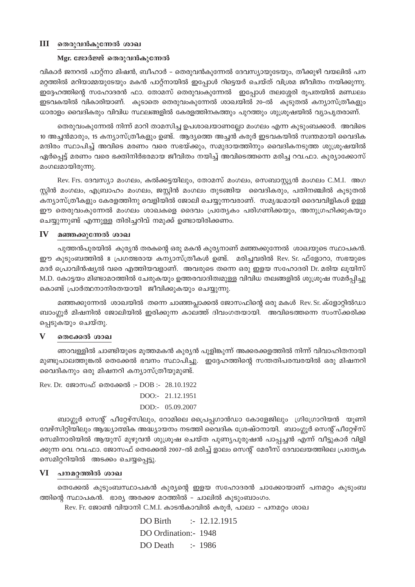### $III$  തെരുവൻകുന്നേൽ ശാഖ

#### Mgr. ജോർജ്ജ് തെരുവൻകുന്നേൽ

വികാർ ജനറൽ പാറ്റ്നാ മിഷൻ, ബീഹാർ – തെരുവൻകുന്നേൽ ദേവസ്യായുടേയും, തീക്കുഴി വയലിൽ പന മറ്റത്തിൽ മറിയാമ്മയുടേയും മകൻ പാറ്റ്നായിൽ ഇപ്പോൾ റിട്ടെയർ ചെയ്ത് വിശ്രമ ജീവിതം നയിക്കുന്നു. ഇദ്ദേഹത്തിന്റെ സഹോദരൻ ഫാ. തോമസ് തെരുവംകുന്നേൽ ഇപ്പോൾ തലശ്ശേരി രൂപതയിൽ മണ്ഡലം ഇടവകയിൽ വികാരിയാണ്. കൂടാതെ തെരുവംകുന്നേൽ ശാഖയിൽ 20-ൽ കൂടുതൽ കന്യാസ്ത്രീകളും ധാരാളം വൈദികരും വിവിധ സ്ഥലങ്ങളിൽ കേരളത്തിനകത്തും പുറത്തും ശുശ്രൂഷയിൽ വ്യാപൃതരാണ്.

തെരുവംകുന്നേൽ നിന്ന് മാറി താമസിച്ച ഉപശാഖയാണല്ലോ മംഗലം എന്ന കുടുംബക്കാർ. അവിടെ 10 അച്ചൻമാരും, 15 കന്യാസ്ത്രീകളും ഉണ്ട്. ആദ്യത്തെ അച്ചൻ കരൂർ ഇടവകയിൽ സ്വന്തമായി വൈദിക മന്ദിരം സ്ഥാപിച്ച് അവിടെ മരണം വരെ സഭയ്ക്കും, സമുദായത്തിനും വൈദികനടുത്ത ശുശ്രൂഷയിൽ ഏർപ്പെട്ട് മരണം വരെ ഭക്തിനിർഭരമായ ജീവിതം നയിച്ച് അവിടെത്തന്നെ മരിച്ച റവ.ഫാ. കുര്യാക്കോസ് മംഗലമായിരുന്നു.

Rev. Frs. ദേവസ്യാ മംഗലം, കൽക്കട്ടയിലും, തോമസ് മംഗലം, സെബാസ്റ്റ്യൻ മംഗലം C.M.I. അഗ സ്റ്റിൻ മംഗലം, എബ്രാഹം മംഗലം, ജസ്റ്റിൻ മംഗലം തുടങ്ങിയ വൈദികരും, പതിനഞ്ചിൽ കൂടുതൽ കന്യാസ്ത്രീകളും കേരളത്തിനു വെളിയിൽ ജോലി ചെയ്യുന്നവരാണ്. സമൃദ്ധമായി ദൈവവിളികൾ ഉള്ള ഈ തെരുവംകുന്നേൽ മംഗലം ശാഖകളെ ദൈവം പ്രത്യേകം പരിഗണിക്കയും, അനുഗ്രഹിക്കുകയും ചെയ്യുന്നുണ്ട് എന്നുള്ള തിരിച്ചറിവ് നമുക്ക് ഉണ്ടായിരിക്കണം.

#### $\mathbf{IV}$ മഞ്ഞക്കുന്നേൽ ശാഖ

പുത്തൻപുരയിൽ കുര്യൻ തരകന്റെ ഒരു മകൻ കുര്യനാണ് മഞ്ഞക്കുന്നേൽ ശാഖയുടെ സ്ഥാപകൻ. ഈ കുടുംബത്തിൽ 8 പ്രഗത്ഭരായ കന്യാസ്ത്രീകൾ ഉണ്ട്. മരിച്ചവരിൽ Rev. Sr. ഫ്ളോറാ, സഭയുടെ മദർ പ്രൊവിൻഷ്യൽ വരെ എത്തിയവളാണ്. അവരുടെ തന്നെ ഒരു ഇളയ സഹോദരി Dr. മരിയ ലൂയിസ് M.D. കോട്ടയം മിണ്ടാമഠത്തിൽ ചേരുകയും ഉത്തരവാദിത്വമുള്ള വിവിധ തലങ്ങളിൽ ശുശ്രൂഷ സമർപ്പിച്ചു കൊണ്ട് പ്രാർത്ഥനാനിരതയായി ജീവിക്കുകയും ചെയ്യുന്നു.

മഞ്ഞക്കുന്നേൽ ശാഖയിൽ തന്നെ ചാഞ്ഞപ്പാക്കൽ ജോസഫിന്റെ ഒരു മകൾ Rev. Sr. ക്ളോറ്റിൽഡാ ബാംഗ്ലൂർ മിഷനിൽ ജോലിയിൽ ഇരിക്കുന്ന കാലത്ത് ദിവംഗതയായി. അവിടെത്തന്നെ സംസ്ക്കരിക്ക പ്പെടുകയും ചെയ്തു.

#### V തെക്കേൽ ശാഖ

ഞാവള്ളിൽ ചാണ്ടിയുടെ മൂത്തമകൻ കുര്യൻ പുളിങ്കുന്ന് അക്കരക്കളത്തിൽ നിന്ന് വിവാഹിതനായി മുണ്ടുപാലത്തുങ്കൽ തെക്കേൽ ഭവനം സ്ഥാപിച്ചു. ഇദ്ദേഹത്തിന്റെ സന്തതിപരമ്പരയിൽ ഒരു മിഷനറി വൈദികനും ഒരു മിഷനറി കന്യാസ്ത്രീയുമുണ്ട്.

Rev. Dr. ജോസഫ് തെക്കേൽ :- DOB :- 28.10.1922 DOO:- 21.12.1951 DOD:- 05.09.2007

ബാഗ്ലൂർ സെന്റ് പീറ്റേഴ്സിലും, റോമിലെ പ്രൈപ്പഗാൻഡാ കോളേജിലും ഗ്രിഗ്രോറിയൻ യൂണി വേഴ്സിറ്റിയിലും ആദ്ധ്യാത്മിക അദ്ധ്യായനം നടത്തി വൈദിക ശ്രേഷ്ഠനായി. ബാംഗ്ലൂർ സെന്റ് പീറ്റേഴ്സ് സെമിനാരിയിൽ ആയുസ് മുഴുവൻ ശുശ്രൂഷ ചെയ്ത പുണ്യപുരുഷൻ പാപ്പച്ചൻ എന്ന് വീട്ടുകാർ വിളി ക്കുന്ന വെ. റവ.ഫാ. ജോസഫ് തെക്കേൽ 2007–ൽ മരിച്ച് ളാലം സെന്റ് മേരീസ് ദേവാലയത്തിലെ പ്രത്യേക സെമിറ്ററിയിൽ അടക്കം ചെയ്യപ്പെട്ടു.

#### $VI$  പനമറ്റത്തിൽ ശാഖ

തെക്കേൽ കുടുംബസ്ഥാപകൻ കുര്യന്റെ ഇളയ സഹോദരൻ ചാക്കോയാണ് പനമറ്റം കുടുംബ ത്തിന്റെ സ്ഥാപകൻ. ഭാര്യ അരക്കഴ മഠത്തിൽ – ചാലിൽ കുടുംബാംഗം.

Rev. Fr. ജോൺ വിയാനി C.M.I. കാടൻകാവിൽ കരുർ, പാലാ - പനമറ്റം ശാഖ

DO Birth  $: 12.12.1915$ DO Ordination:- 1948 DO Death :- 1986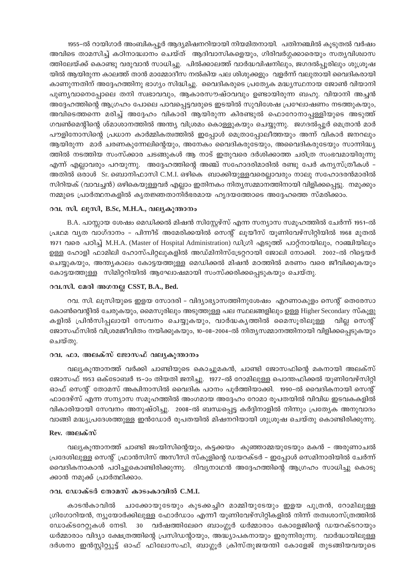1955-ൽ റായിഗാർ അംബികപ്പൂർ ആദ്യമിഷനറിയായി നിയമിതനായി. പതിനഞ്ചിൽ കൂടുതൽ വർഷം അവിടെ താമസിച്ച് കഠിനാദ്ധ്വാനം ചെയ്ത് ആദിവാസികളെയും, ഗിരിവർഗ്ഗക്കാരെയും സത്യവിശ്വാസ ത്തിലേയ്ക്ക് കൊണ്ടു വരുവാൻ സാധിച്ചു. പിൽക്കാലത്ത് വാർദ്ധവിഷനിലും, ജഗദൽപ്പൂരിലും ശുശ്രൂഷ യിൽ ആയിരുന്ന കാലത്ത് താൻ മാമ്മോദീസ നൽകിയ പല ശിശുക്കളും വളർന്ന് വലുതായി വൈദികരായി കാണുന്നതിന് അദ്ദേഹത്തിനു ഭാഗ്യം സിദ്ധിച്ചു. വൈദികരുടെ പ്രത്യേക മദ്ധ്യസ്ഥനായ ജോൺ വിയാനി പുണ്യവാനെപ്പോലെ തനി സ്വഭാവവും, ആകാരസൗഷ്ഠവവും ഉണ്ടായിരുന്ന ബഹു. വിയാനി അച്ചൻ അദ്ദേഹത്തിന്റെ ആഗ്രഹം പോലെ പാവപ്പെട്ടവരുടെ ഇടയിൽ സുവിശേഷ പ്രഘോഷണം നടത്തുകയും, അവിടെത്തന്നെ മരിച്ച് അദ്ദേഹം വികാരി ആയിരുന്ന കിരണ്ടുൽ ഫൊറോനാപ്പള്ളിയുടെ അടുത്ത് ഗവൺമെന്റിന്റെ ശ്മാശാനത്തിൽ അന്ത്യ വിശ്രമം കൊള്ളുകയും ചെയ്യുന്നു. ജഗദൽപ്പൂർ മെത്രാൻ മാർ പൗളിനോസിന്റെ പ്രധാന കാർമ്മികത്വത്തിൽ ഇപ്പോൾ മെത്രാപ്പോലീത്തയും അന്ന് വികാർ ജനറലും ആയിരുന്ന മാർ ചരണകുന്നേലിന്റെയും, അനേകം വൈദികരുടേയും, അവൈദികരുടേയും സാന്നിദ്ധ്യ ത്തിൽ നടത്തിയ സംസ്ക്കാര ചടങ്ങുകൾ ആ നാട് ഇതുവരെ ദർശിക്കാത്ത ചരിത്ര സംഭവമായിരുന്നു എന്ന് എല്ലാവരും പറയുന്നു. അദ്ദേഹത്തിന്റെ അഞ്ച് സഹോദരിമാരിൽ രണ്ടു പേർ കന്യസ്ത്രീകൾ – അതിൽ ഒരാൾ Sr. ബൊനിഫാസി C.M.I. ഒഴികെ ബാക്കിയുള്ളവരെല്ലാവരും നാലു സഹോദരൻമാരിൽ സിറിയക് (വാവച്ചൻ) ഒഴികെയുള്ളവർ എല്ലാം ഇതിനകം നിതൃസമ്മാനത്തിനായി വിളിക്കപ്പെട്ടു. നമുക്കും നമ്മുടെ പ്രാർത്ഥനകളിൽ കൃതജ്ഞതാനിർഭരമായ ഹൃദയത്തോടെ അദ്ദേഹത്തെ സ്മരിക്കാം.

#### റവ. സി. ലൂസി, B.Sc, M.H.A., വല്യകൂന്താനം

B.A. പാസ്സായ ശേഷം മെഡിക്കൽ മിഷൻ സിസ്റ്റേഴ്സ് എന്ന സന്യാസ സമൂഹത്തിൽ ചേർന്ന് 1951–ൽ പ്രഥമ വ്യത വാഗ്ദാനം - പിന്നീട് അമേരിക്കയിൽ സെന്റ് ലൂയീസ് യൂണിവേഴ്സിറ്റിയിൽ 1968 മുതൽ 1971 വരെ പഠിച്ച് M.H.A. (Master of Hospital Administration) ഡിഗ്രി എടുത്ത് പാറ്റ്നായിലും, റാഞ്ചിയിലും ഉള്ള ഹോളി ഫാമിലി ഹോസ്പിറ്റലുകളിൽ അഡ്മിനിസ്ട്രേറ്ററായി ജോലി നോക്കി. 2002–ൽ റിട്ടെയർ ചെയ്യുകയും, അന്ത്യകാലം കോട്ടയത്തുള്ള മെഡിക്കൽ മിഷൻ മഠത്തിൽ മരണം വരെ ജീവിക്കുകയും കോട്ടയത്തുള്ള സിമിറ്ററിയിൽ ആഘോഷമായി സംസ്ക്കരിക്കപ്പെടുകയും ചെയ്തു.

#### റവ.സി. മേരി അഗനല്ല CSST, B.A., Bed.

റവ. സി. ലൂസിയുടെ ഇളയ സോദരി – വിദ്യാഭ്യാസത്തിനുശേഷം എറണാകുളം സെന്റ് തെരേസാ കോൺവെന്റിൽ ചേരുകയും, മൈസൂരിലും അടുത്തുള്ള പല സ്ഥലങ്ങളിലും ഉള്ള Higher Secondary സ്കൂളു കളിൽ പ്രിൻസിപ്പലായി സേവനം ചെയ്യുകയും, വാർദ്ധകൃത്തിൽ മൈസൂരിലുള്ള വില്ല സെന്റ് ജോസഫ്സിൽ വിശ്രമജീവിതം നയിക്കുകയും, 10–08–2004–ൽ നിതൃസമ്മാനത്തിനായി വിളിക്കപ്പെടുകയും ചെയ്തു.

### റവ, ഫാ. അലക്സ് ജോസഫ് വല്യകുന്താനം

വല്യകൂന്താനത്ത് വർക്കി ചാണ്ടിയുടെ കൊച്ചുമകൻ, ചാണ്ടി ജോസഫിന്റെ മകനായി അലക്സ് ജോസഫ് 1953 ഒക്ടോബർ 15-ാം തിയതി ജനിച്ചു. 1977-ൽ റോമിലുള്ള പൊന്തഫിക്കൽ യൂണിവേഴ്സിറ്റി ഓഫ് സെന്റ് തോമസ് അക്വിനാസിൽ വൈദിക പഠനം പൂർത്തിയാക്കി. 1990–ൽ വൈദികനായി സെന്റ് ഫാദേഴ്സ് എന്ന സന്യാസ സമൂഹത്തിൽ അംഗമായ അദ്ദേഹം റോമാ രൂപതയിൽ വിവിധ ഇടവകകളിൽ വികാരിയായി സേവനം അനുഷ്ഠിച്ചു. 2008-ൽ ബന്ധപ്പെട്ട കർദ്ദിനാളിൽ നിന്നും പ്രത്യേക അനുവാദം വാങ്ങി മദ്ധ്യപ്രദേശത്തുള്ള ഇൻഡോർ രൂപതയിൽ മിഷനറിയായി ശുശ്രൂഷ ചെയ്തു കൊണ്ടിരിക്കുന്നു.

### Rev. അലക്സ്

വല്യകുന്താനത്ത് ചാണ്ടി ജംയിസിന്റെയും, കട്ടക്കയം കുഞ്ഞാമ്മയുടേയും മകൻ – അരുണാചൽ പ്രദേശിലുള്ള സെന്റ് ഫ്രാൻസിസ് അസീസി സ്കൂളിന്റെ ഡയറക്ടർ – ഇപ്പോൾ സെമിനാരിയിൽ ചേർന്ന് വൈദികനാകാൻ പഠിച്ചുകൊണ്ടിരിക്കുന്നു. ദിവ്യനാഥൻ അദ്ദേഹത്തിന്റെ ആഗ്രഹം സാധിച്ചു കൊടു ക്കാൻ നമുക്ക് പ്രാർത്ഥിക്കാം.

#### റവ. ഡോക്ടർ തോമസ് കാടംകാവിൽ C.M.I.

കാടൻകാവിൽ ചാക്കോയുടേയും കുടക്കച്ചിറ മാമ്മിയുടേയും ഇളയ പുത്രൻ, റോമിലുള്ള ഗ്രിഗോറിയൻ, ന്യൂയോർക്കിലുള്ള ഫോർഡാം എന്നീ യൂണിവേഴ്സിറ്റികളിൽ നിന്ന് തത്വശാസ്ത്രത്തിൽ ഡോക്ടറേറ്റുകൾ നേടി. 30 വർഷത്തിലേറെ ബാംഗ്ലൂർ ധർമ്മാരാം കോളേജിന്റെ ഡയറക്ടറായും ധർമ്മാരാം വിദ്യാ ക്ഷേത്രത്തിന്റെ പ്രസിഡന്റായും, അദ്ധ്യാപകനായും ഇരുന്നിരുന്നു. വാർദ്ധായിലുള്ള ദർശനാ ഇൻസ്ലിറ്റ്യൂട്ട് ഓഫ് ഫിലോസഫി, ബാഗ്ലൂർ ക്രിസ്തുജയത്തി കോളേജ് തുടങ്ങിയവയുടെ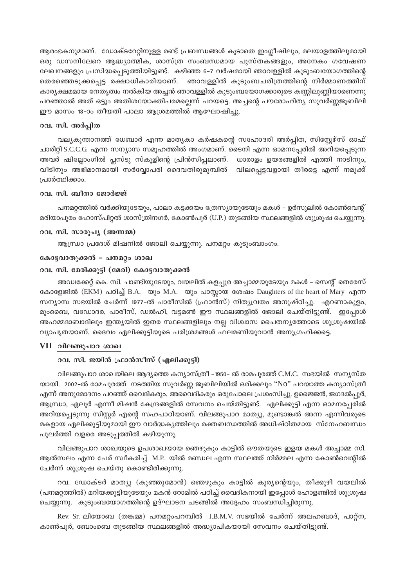ആരംഭകനുമാണ്. ഡോക്ടറേറ്റിനുള്ള രണ്ട് പ്രബന്ധങ്ങൾ കൂടാതെ ഇംഗ്ലീഷിലും, മലയാളത്തിലുമായി ഒരു ഡസനിലേറെ ആദ്ധ്യാത്മിക, ശാസ്ത്ര സംബന്ധമായ പുസ്തകങ്ങളും, അനേകം ഗവേഷണ ലേഖനങ്ങളും പ്രസിദ്ധപ്പെടുത്തിയിട്ടുണ്ട്. കഴിഞ്ഞ 6–7 വർഷമായി ഞാവള്ളിൽ കുടുംബയോഗത്തിന്റെ തെരഞ്ഞെടുക്കപ്പെട്ട രക്ഷാധികാരിയാണ്. ഞാവള്ളിൽ കൂടുംബചരിത്രത്തിന്റെ നിർമ്മാണത്തിന് കാര്യക്ഷമമായ നേതൃത്വം നൽകിയ അച്ചൻ ഞാവള്ളിൽ കുടുംബയോഗക്കാരുടെ കണ്ണിലുണ്ണിയാണെന്നു പറഞ്ഞാൽ അത് ഒട്ടും അതിശയോക്തിപരമല്ലെന്ന് പറയട്ടെ. അച്ചന്റെ പൗരോഹിത്യ സുവർണ്ണജൂബിലി ഈ മാസം 18-ാം തീയതി പാലാ ആശ്രമത്തിൽ ആഘോഷിച്ചു.

### റവ. സി. അർപ്പിത

വല്യകൂന്താനത്ത് ധേബാർ എന്ന മാതൃകാ കർഷകന്റെ സഹോദരി അർപ്പിത, സിസ്റ്റേഴ്സ് ഓഫ് ചാരിറ്റി S.C.C.G. എന്ന സന്യാസ സമൂഹത്തിൽ അംഗമാണ്. ടൈനി എന്ന ഓമനപേരിൽ അറിയപെടുന്ന അവർ ഷില്ലോംഗിൽ പ്ലസ്ടു സ്കൂളിന്റെ പ്രിൻസിപ്പലാണ്. ധാരാളം ഉയരങ്ങളിൽ എത്തി നാടിനും, വീടിനും അഭിമാനമായി സർവ്വോപരി ദൈവതിരുമുമ്പിൽ വിലപ്പെട്ടവളായി തീരട്ടെ എന്ന് നമുക്ക് പ്രാർത്ഥിക്കാം.

#### റവ, സി. ബീനാ ജോർജ്ജ്

പനമറ്റത്തിൽ വർക്കിയുടേയും, പാലാ കട്ടക്കയം ത്രേസ്യായുടേയും മകൾ – ഉർസുലിൽ കോൺവെന്റ് മരിയാപുരം ഹോസ്പിറ്റൽ ശാസ്ത്രിനഗർ, കോൺപൂർ (U.P.) തുടങ്ങിയ സ്ഥലങ്ങളിൽ ശുശ്രുഷ ചെയ്യുന്നു.

### റവ. സി. സാരൂപ്യ (അന്നമ്മ)

ആന്ധ്രാ പ്രദേശ് മിഷനിൽ ജോലി ചെയ്യുന്നു. പനമറ്റം കുടുംബാംഗം.

#### കോട്ടവാതുക്കൽ - പനമറ്റം ശാഖ

#### റവ. സി. മേരിക്കുട്ടി (മേരി) കോട്ടവാതുക്കൽ

അഡ്വക്കേറ്റ് കെ. സി. ചാണ്ടിയുടേയും, വയലിൽ കളപ്പുര അച്ചാമ്മയുടേയും മകൾ – സെന്റ് തെരേസ് കോളേജിൽ (EKM) പഠിച്ച് B.A. യും M.A. യും പാസ്സായ ശേഷം Daughters of the heart of Mary എന്ന സന്യാസ സഭയിൽ ചേർന്ന് 1977-ൽ പാരീസിൽ (ഫ്രാൻസ്) നിത്യവ്രതം അനുഷ്ഠിച്ചു. എറണാകുളം, മുംബൈ, വഡോദര, പാരീസ്, ഡൽഹി, വട്ടമൺ ഈ സ്ഥലങ്ങളിൽ ജോലി ചെയ്തിട്ടുണ്ട്. ഇപ്പോൾ അഹമ്മദാബാദിലും ഇന്ത്യയിൽ ഇതര സ്ഥലങ്ങളിലും നല്ല വിശ്വാസ ചൈതന്യത്തോടെ ശുശ്രൂഷയിൽ വ്യാപൃതയാണ്. ദൈവം ഏലിക്കുട്ടിയുടെ പരിശ്രമങ്ങൾ ഫലമണിയുവാൻ അനുഗ്രഹിക്കട്ടെ.

#### VII വിലങ്ങുപാറ ശാഖ

#### റവ. സി. ജയിൻ ഫ്രാൻസീസ് (ഏലിക്കുട്ടി)

വിലങ്ങുപാറ ശാഖയിലെ ആദ്യത്തെ കന്യാസ്ത്രീ -1950- ൽ രാമപുരത്ത് C.M.C. സഭയിൽ സന്യസ്ത യായി. 2002-ൽ രാമപുരത്ത് നടത്തിയ സുവർണ്ണ ജൂബിലിയിൽ ഒരിക്കലും "No" പറയാത്ത കന്യാസ്ത്രീ എന്ന് അനുമോദനം പറഞ്ഞ് വൈദികരും, അവൈദികരും ഒരുപോലെ പ്രശംസിച്ചു. ഉജൈജൻ, ജഗദൽപൂർ, ആന്ധ്രാ, ഏലൂർ എന്നീ മിഷൻ കേന്ദ്രങ്ങളിൽ സേവനം ചെയ്തിട്ടുണ്ട്. ഏലിക്കുട്ടി എന്ന ഓമനപ്പേരിൽ അറിയപ്പെടുന്നു സിസ്റ്റർ എന്റെ സഹപാഠിയാണ്. വിലങ്ങുപാറ മാത്യു, മുണ്ടാങ്കൽ അന്ന എന്നിവരുടെ മകളായ ഏലിക്കുട്ടിയുമായി ഈ വാർദ്ധകൃത്തിലും രക്തബന്ധത്തിൽ അധിഷ്ഠിതമായ സ്നേഹബന്ധം പുലർത്തി വളരെ അടുപ്പത്തിൽ കഴിയുന്നു.

വിലങ്ങുപാറ ശാഖയുടെ ഉപശാഖയായ ഞെഴുകും കാട്ടിൽ ഔതയുടെ ഇളയ മകൾ അച്ചാമ്മ സി. ആൽസലം എന്ന പേര് സ്വീകരിച്ച് M.P. യിൽ മണ്ഡല എന്ന സ്ഥലത്ത് നിർമ്മല എന്ന കോൺവെന്റിൽ ചേർന്ന് ശുശ്രൂഷ ചെയ്തു കൊണ്ടിരിക്കുന്നു.

റവ. ഡോക്ടർ മാത്യു (കുഞ്ഞുമോൻ) ഞെഴുകും കാട്ടിൽ കുര്യന്റെയും, തീക്കുഴി വയലിൽ (പനമറ്റത്തിൽ) മറിയക്കുട്ടിയുടേയും മകൻ റോമിൽ പഠിച്ച് വൈദികനായി ഇപ്പോൾ ഹോളണ്ടിൽ ശുശ്രുഷ ചെയ്യുന്നു. കുടുംബയോഗത്തിന്റെ ഉദ്ഘാടന ചടങ്ങിൽ അദ്ദേഹം സംബന്ധിച്ചിരുന്നു.

Rev. Sr. ലിയോബ (തങ്കമ്മ) പനമറ്റംപറമ്പിൽ I.B.M.V. സഭയിൽ ചേർന്ന് അലഹബാദ്, പാറ്ന, കാൺപൂർ, ബോംബെ തുടങ്ങിയ സ്ഥലങ്ങളിൽ അദ്ധ്യാപികയായി സേവനം ചെയ്തിട്ടുണ്ട്.